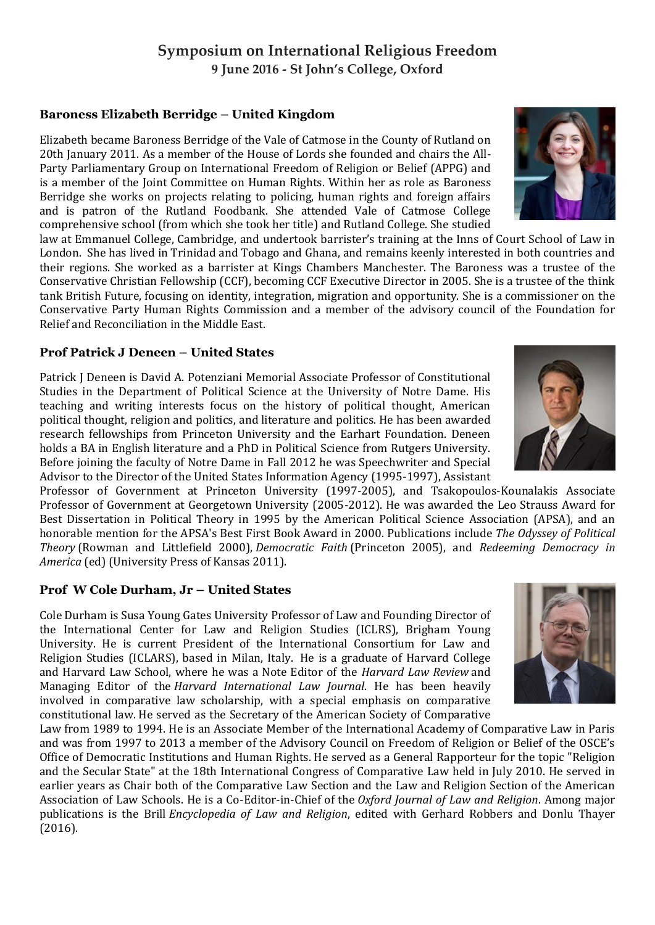### **Symposium on International Religious Freedom 9 June 2016 - St John's College, Oxford**

### **Baroness Elizabeth Berridge – United Kingdom**

Elizabeth became Baroness Berridge of the Vale of Catmose in the County of Rutland on 20th January 2011. As a member of the House of Lords she founded and chairs the All-Party Parliamentary Group on International Freedom of Religion or Belief (APPG) and is a member of the Joint Committee on Human Rights. Within her as role as Baroness Berridge she works on projects relating to policing, human rights and foreign affairs and is patron of the Rutland Foodbank. She attended Vale of Catmose College comprehensive school (from which she took her title) and Rutland College. She studied

law at Emmanuel College, Cambridge, and undertook barrister's training at the Inns of Court School of Law in London. She has lived in Trinidad and Tobago and Ghana, and remains keenly interested in both countries and their regions. She worked as a barrister at Kings Chambers Manchester. The Baroness was a trustee of the Conservative Christian Fellowship (CCF), becoming CCF Executive Director in 2005. She is a trustee of the think tank British Future, focusing on identity, integration, migration and opportunity. She is a commissioner on the Conservative Party Human Rights Commission and a member of the advisory council of the Foundation for Relief and Reconciliation in the Middle East.

#### **Prof Patrick J Deneen – United States**

Patrick J Deneen is David A. Potenziani Memorial Associate Professor of Constitutional Studies in the Department of Political Science at the University of Notre Dame. His teaching and writing interests focus on the history of political thought, American political thought, religion and politics, and literature and politics. He has been awarded research fellowships from Princeton University and the Earhart Foundation. Deneen holds a BA in English literature and a PhD in Political Science from Rutgers University. Before joining the faculty of Notre Dame in Fall 2012 he was Speechwriter and Special Advisor to the Director of the United States Information Agency (1995-1997), Assistant

Professor of Government at Princeton University (1997-2005), and Tsakopoulos-Kounalakis Associate Professor of Government at Georgetown University (2005-2012). He was awarded the Leo Strauss Award for Best Dissertation in Political Theory in 1995 by the American Political Science Association (APSA), and an honorable mention for the APSA's Best First Book Award in 2000. Publications include *The Odyssey of Political Theory* (Rowman and Littlefield 2000), *Democratic Faith* (Princeton 2005), and *Redeeming Democracy in America* (ed) (University Press of Kansas 2011).

#### **Prof W Cole Durham, Jr – United States**

Cole Durham is Susa Young Gates University Professor of Law and Founding Director of the International Center for Law and Religion Studies (ICLRS), Brigham Young University. He is current President of the International Consortium for Law and Religion Studies (ICLARS), based in Milan, Italy. He is a graduate of Harvard College and Harvard Law School, where he was a Note Editor of the *Harvard Law Review* and Managing Editor of the *Harvard International Law Journal*. He has been heavily involved in comparative law scholarship, with a special emphasis on comparative constitutional law. He served as the Secretary of the American Society of Comparative

Law from 1989 to 1994. He is an Associate Member of the International Academy of Comparative Law in Paris and was from 1997 to 2013 a member of the Advisory Council on Freedom of Religion or Belief of the OSCE's Office of Democratic Institutions and Human Rights. He served as a General Rapporteur for the topic "Religion and the Secular State" at the 18th International Congress of Comparative Law held in July 2010. He served in earlier years as Chair both of the Comparative Law Section and the Law and Religion Section of the American Association of Law Schools. He is a Co-Editor-in-Chief of the *Oxford Journal of Law and Religion*. Among major publications is the Brill *Encyclopedia of Law and Religion*, edited with Gerhard Robbers and Donlu Thayer (2016).





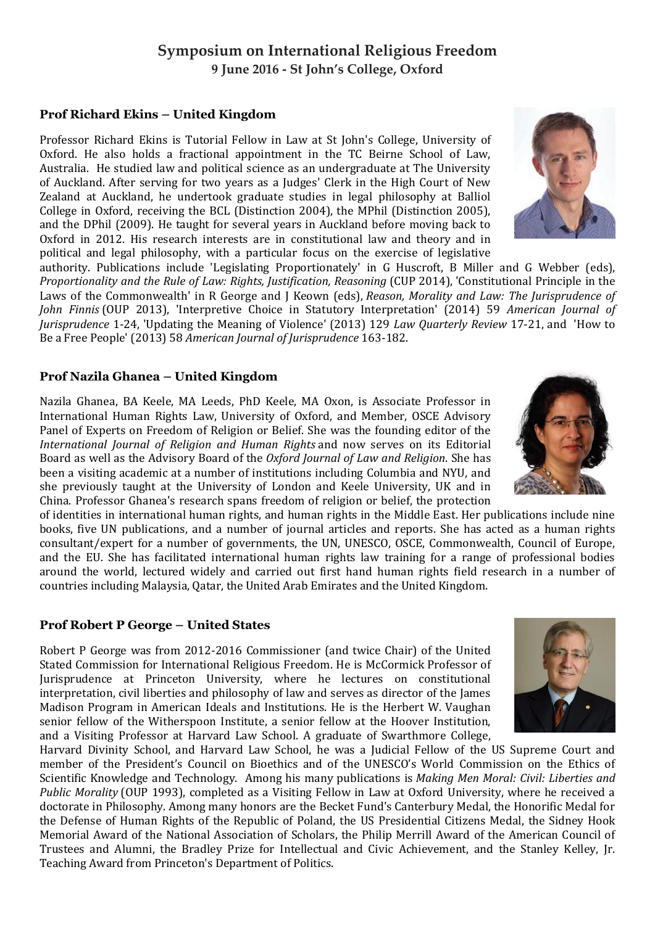# **Symposium on International Religious Freedom 9 June 2016 - St John's College, Oxford**

### **Prof Richard Ekins – United Kingdom**

Professor Richard Ekins is Tutorial Fellow in Law at St John's College, University of Oxford. He also holds a fractional appointment in the TC Beirne School of Law, Australia. He studied law and political science as an undergraduate at The University of Auckland. After serving for two years as a Judges' Clerk in the High Court of New Zealand at Auckland, he undertook graduate studies in legal philosophy at Balliol College in Oxford, receiving the BCL (Distinction 2004), the MPhil (Distinction 2005), and the DPhil (2009). He taught for several years in Auckland before moving back to Oxford in 2012. His research interests are in constitutional law and theory and in political and legal philosophy, with a particular focus on the exercise of legislative

authority. Publications include 'Legislating Proportionately' in G Huscroft, B Miller and G Webber (eds), *Proportionality and the Rule of Law: Rights, Justification, Reasoning* (CUP 2014), 'Constitutional Principle in the Laws of the Commonwealth' in R George and J Keown (eds), *Reason, Morality and Law: The Jurisprudence of John Finnis* (OUP 2013), 'Interpretive Choice in Statutory Interpretation' (2014) 59 *American Journal of Jurisprudence* 1-24, 'Updating the Meaning of Violence' (2013) 129 *Law Quarterly Review* 17-21, and 'How to Be a Free People' (2013) 58 *American Journal of Jurisprudence* 163-182.

#### **Prof Nazila Ghanea – United Kingdom**

Nazila Ghanea, BA Keele, MA Leeds, PhD Keele, MA Oxon, is Associate Professor in International Human Rights Law, University of Oxford, and Member, OSCE Advisory Panel of Experts on Freedom of Religion or Belief. She was the founding editor of the *International Journal of Religion and Human Rights* and now serves on its Editorial Board as well as the Advisory Board of the *Oxford Journal of Law and Religion*. She has been a visiting academic at a number of institutions including Columbia and NYU, and she previously taught at the University of London and Keele University, UK and in China. Professor Ghanea's research spans freedom of religion or belief, the protection

of identities in international human rights, and human rights in the Middle East. Her publications include nine books, five UN publications, and a number of journal articles and reports. She has acted as a human rights consultant/expert for a number of governments, the UN, UNESCO, OSCE, Commonwealth, Council of Europe, and the EU. She has facilitated international human rights law training for a range of professional bodies around the world, lectured widely and carried out first hand human rights field research in a number of countries including Malaysia, Qatar, the United Arab Emirates and the United Kingdom.

#### **Prof Robert P George – United States**

Robert P George was from 2012-2016 Commissioner (and twice Chair) of the United Stated Commission for International Religious Freedom. He is McCormick Professor of Jurisprudence at Princeton University, where he lectures on constitutional interpretation, civil liberties and philosophy of law and serves as director of the James Madison Program in American Ideals and Institutions. He is the Herbert W. Vaughan senior fellow of the Witherspoon Institute, a senior fellow at the Hoover Institution, and a Visiting Professor at Harvard Law School. A graduate of Swarthmore College,

Harvard Divinity School, and Harvard Law School, he was a Judicial Fellow of the US Supreme Court and member of the President's Council on Bioethics and of the UNESCO's World Commission on the Ethics of Scientific Knowledge and Technology. Among his many publications is *Making Men Moral: Civil: Liberties and Public Morality* (OUP 1993), completed as a Visiting Fellow in Law at Oxford University, where he received a doctorate in Philosophy. Among many honors are the Becket Fund's Canterbury Medal, the Honorific Medal for the Defense of Human Rights of the Republic of Poland, the US Presidential Citizens Medal, the Sidney Hook Memorial Award of the National Association of Scholars, the Philip Merrill Award of the American Council of Trustees and Alumni, the Bradley Prize for Intellectual and Civic Achievement, and the Stanley Kelley, Jr. Teaching Award from Princeton's Department of Politics.